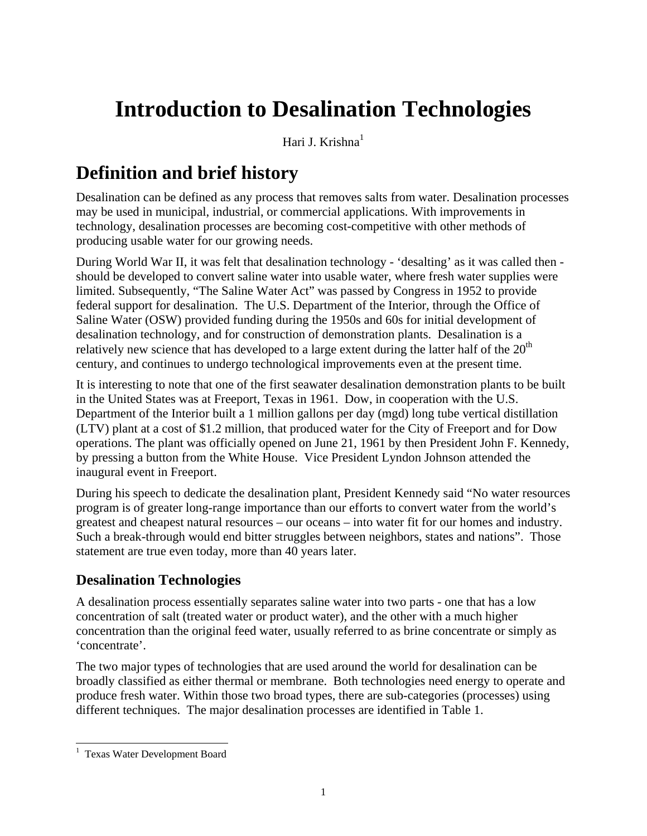# **Introduction to Desalination Technologies**

Hari J. Krishna $<sup>1</sup>$ </sup>

### **Definition and brief history**

Desalination can be defined as any process that removes salts from water. Desalination processes may be used in municipal, industrial, or commercial applications. With improvements in technology, desalination processes are becoming cost-competitive with other methods of producing usable water for our growing needs.

During World War II, it was felt that desalination technology - 'desalting' as it was called then should be developed to convert saline water into usable water, where fresh water supplies were limited. Subsequently, "The Saline Water Act" was passed by Congress in 1952 to provide federal support for desalination. The U.S. Department of the Interior, through the Office of Saline Water (OSW) provided funding during the 1950s and 60s for initial development of desalination technology, and for construction of demonstration plants. Desalination is a relatively new science that has developed to a large extent during the latter half of the  $20<sup>th</sup>$ century, and continues to undergo technological improvements even at the present time.

It is interesting to note that one of the first seawater desalination demonstration plants to be built in the United States was at Freeport, Texas in 1961. Dow, in cooperation with the U.S. Department of the Interior built a 1 million gallons per day (mgd) long tube vertical distillation (LTV) plant at a cost of \$1.2 million, that produced water for the City of Freeport and for Dow operations. The plant was officially opened on June 21, 1961 by then President John F. Kennedy, by pressing a button from the White House. Vice President Lyndon Johnson attended the inaugural event in Freeport.

During his speech to dedicate the desalination plant, President Kennedy said "No water resources program is of greater long-range importance than our efforts to convert water from the world's greatest and cheapest natural resources – our oceans – into water fit for our homes and industry. Such a break-through would end bitter struggles between neighbors, states and nations". Those statement are true even today, more than 40 years later.

#### **Desalination Technologies**

A desalination process essentially separates saline water into two parts - one that has a low concentration of salt (treated water or product water), and the other with a much higher concentration than the original feed water, usually referred to as brine concentrate or simply as 'concentrate'.

The two major types of technologies that are used around the world for desalination can be broadly classified as either thermal or membrane. Both technologies need energy to operate and produce fresh water. Within those two broad types, there are sub-categories (processes) using different techniques. The major desalination processes are identified in Table 1.

<sup>&</sup>lt;sup>1</sup> Texas Water Development Board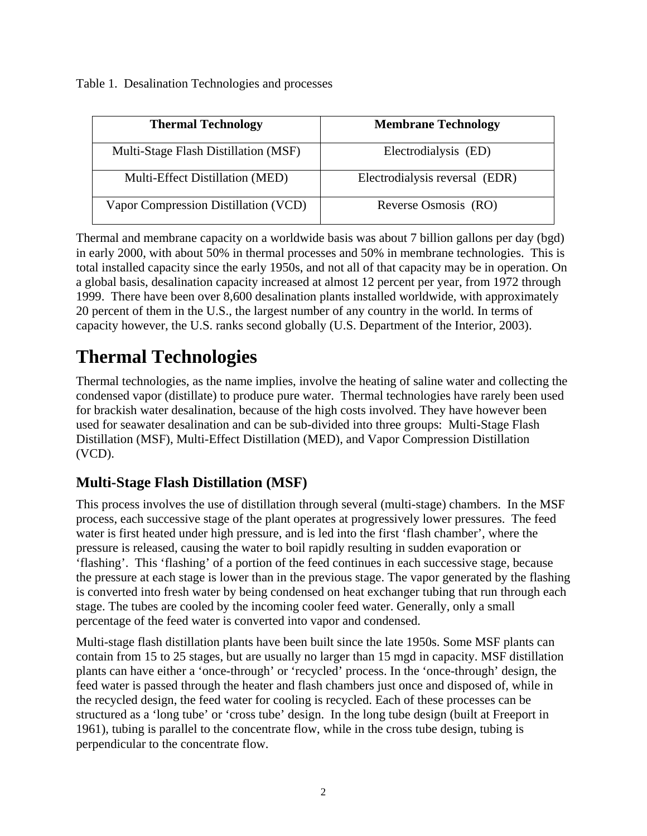Table 1. Desalination Technologies and processes

| <b>Thermal Technology</b>            | <b>Membrane Technology</b>     |
|--------------------------------------|--------------------------------|
| Multi-Stage Flash Distillation (MSF) | Electrodialysis (ED)           |
| Multi-Effect Distillation (MED)      | Electrodialysis reversal (EDR) |
| Vapor Compression Distillation (VCD) | Reverse Osmosis (RO)           |

Thermal and membrane capacity on a worldwide basis was about 7 billion gallons per day (bgd) in early 2000, with about 50% in thermal processes and 50% in membrane technologies. This is total installed capacity since the early 1950s, and not all of that capacity may be in operation. On a global basis, desalination capacity increased at almost 12 percent per year, from 1972 through 1999. There have been over 8,600 desalination plants installed worldwide, with approximately 20 percent of them in the U.S., the largest number of any country in the world. In terms of capacity however, the U.S. ranks second globally (U.S. Department of the Interior, 2003).

### **Thermal Technologies**

Thermal technologies, as the name implies, involve the heating of saline water and collecting the condensed vapor (distillate) to produce pure water. Thermal technologies have rarely been used for brackish water desalination, because of the high costs involved. They have however been used for seawater desalination and can be sub-divided into three groups: Multi-Stage Flash Distillation (MSF), Multi-Effect Distillation (MED), and Vapor Compression Distillation (VCD).

#### **Multi-Stage Flash Distillation (MSF)**

This process involves the use of distillation through several (multi-stage) chambers. In the MSF process, each successive stage of the plant operates at progressively lower pressures. The feed water is first heated under high pressure, and is led into the first 'flash chamber', where the pressure is released, causing the water to boil rapidly resulting in sudden evaporation or 'flashing'. This 'flashing' of a portion of the feed continues in each successive stage, because the pressure at each stage is lower than in the previous stage. The vapor generated by the flashing is converted into fresh water by being condensed on heat exchanger tubing that run through each stage. The tubes are cooled by the incoming cooler feed water. Generally, only a small percentage of the feed water is converted into vapor and condensed.

Multi-stage flash distillation plants have been built since the late 1950s. Some MSF plants can contain from 15 to 25 stages, but are usually no larger than 15 mgd in capacity. MSF distillation plants can have either a 'once-through' or 'recycled' process. In the 'once-through' design, the feed water is passed through the heater and flash chambers just once and disposed of, while in the recycled design, the feed water for cooling is recycled. Each of these processes can be structured as a 'long tube' or 'cross tube' design. In the long tube design (built at Freeport in 1961), tubing is parallel to the concentrate flow, while in the cross tube design, tubing is perpendicular to the concentrate flow.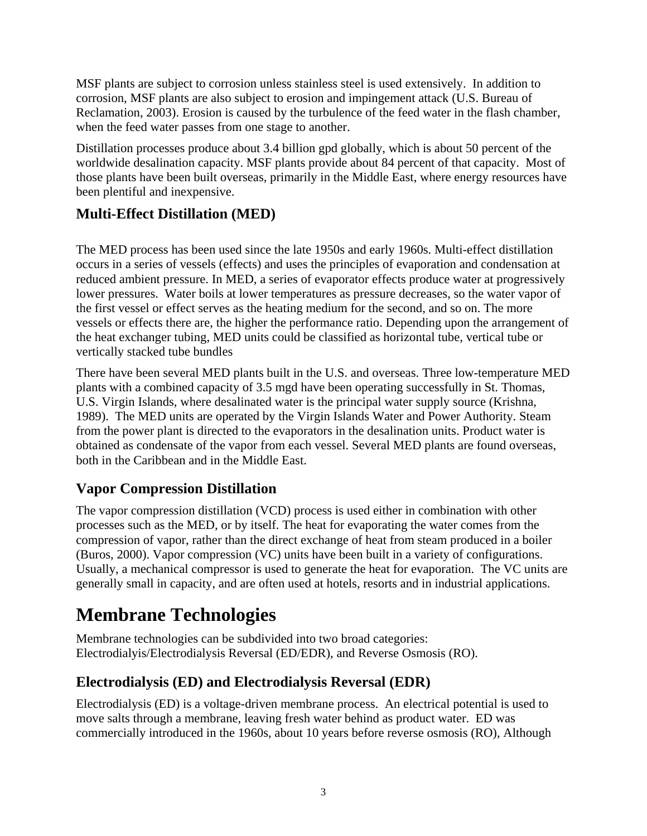MSF plants are subject to corrosion unless stainless steel is used extensively. In addition to corrosion, MSF plants are also subject to erosion and impingement attack (U.S. Bureau of Reclamation, 2003). Erosion is caused by the turbulence of the feed water in the flash chamber, when the feed water passes from one stage to another.

Distillation processes produce about 3.4 billion gpd globally, which is about 50 percent of the worldwide desalination capacity. MSF plants provide about 84 percent of that capacity. Most of those plants have been built overseas, primarily in the Middle East, where energy resources have been plentiful and inexpensive.

#### **Multi-Effect Distillation (MED)**

The MED process has been used since the late 1950s and early 1960s. Multi-effect distillation occurs in a series of vessels (effects) and uses the principles of evaporation and condensation at reduced ambient pressure. In MED, a series of evaporator effects produce water at progressively lower pressures. Water boils at lower temperatures as pressure decreases, so the water vapor of the first vessel or effect serves as the heating medium for the second, and so on. The more vessels or effects there are, the higher the performance ratio. Depending upon the arrangement of the heat exchanger tubing, MED units could be classified as horizontal tube, vertical tube or vertically stacked tube bundles

There have been several MED plants built in the U.S. and overseas. Three low-temperature MED plants with a combined capacity of 3.5 mgd have been operating successfully in St. Thomas, U.S. Virgin Islands, where desalinated water is the principal water supply source (Krishna, 1989). The MED units are operated by the Virgin Islands Water and Power Authority. Steam from the power plant is directed to the evaporators in the desalination units. Product water is obtained as condensate of the vapor from each vessel. Several MED plants are found overseas, both in the Caribbean and in the Middle East.

#### **Vapor Compression Distillation**

The vapor compression distillation (VCD) process is used either in combination with other processes such as the MED, or by itself. The heat for evaporating the water comes from the compression of vapor, rather than the direct exchange of heat from steam produced in a boiler (Buros, 2000). Vapor compression (VC) units have been built in a variety of configurations. Usually, a mechanical compressor is used to generate the heat for evaporation. The VC units are generally small in capacity, and are often used at hotels, resorts and in industrial applications.

## **Membrane Technologies**

Membrane technologies can be subdivided into two broad categories: Electrodialyis/Electrodialysis Reversal (ED/EDR), and Reverse Osmosis (RO).

#### **Electrodialysis (ED) and Electrodialysis Reversal (EDR)**

Electrodialysis (ED) is a voltage-driven membrane process. An electrical potential is used to move salts through a membrane, leaving fresh water behind as product water. ED was commercially introduced in the 1960s, about 10 years before reverse osmosis (RO), Although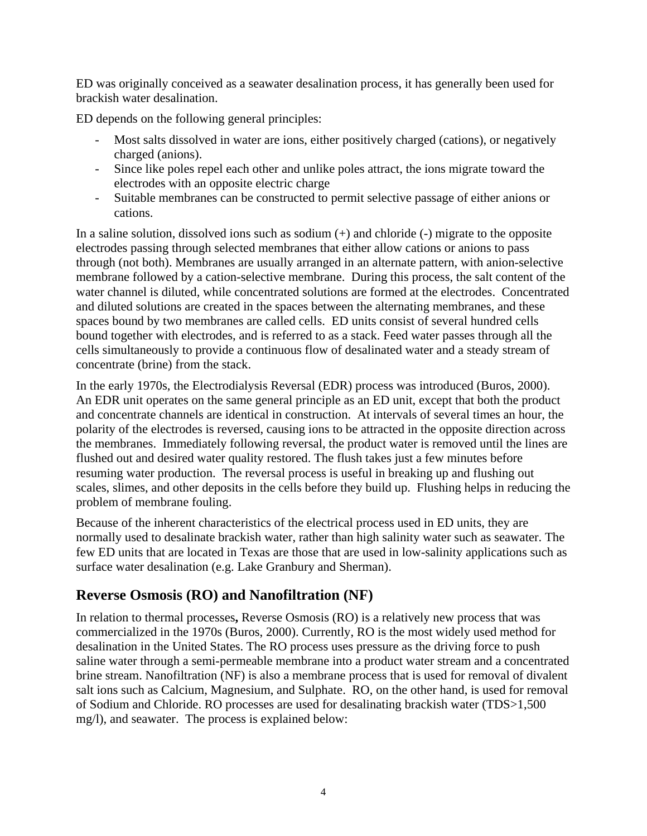ED was originally conceived as a seawater desalination process, it has generally been used for brackish water desalination.

ED depends on the following general principles:

- Most salts dissolved in water are ions, either positively charged (cations), or negatively charged (anions).
- Since like poles repel each other and unlike poles attract, the ions migrate toward the electrodes with an opposite electric charge
- Suitable membranes can be constructed to permit selective passage of either anions or cations.

In a saline solution, dissolved ions such as sodium  $(+)$  and chloride  $(-)$  migrate to the opposite electrodes passing through selected membranes that either allow cations or anions to pass through (not both). Membranes are usually arranged in an alternate pattern, with anion-selective membrane followed by a cation-selective membrane. During this process, the salt content of the water channel is diluted, while concentrated solutions are formed at the electrodes. Concentrated and diluted solutions are created in the spaces between the alternating membranes, and these spaces bound by two membranes are called cells. ED units consist of several hundred cells bound together with electrodes, and is referred to as a stack. Feed water passes through all the cells simultaneously to provide a continuous flow of desalinated water and a steady stream of concentrate (brine) from the stack.

In the early 1970s, the Electrodialysis Reversal (EDR) process was introduced (Buros, 2000). An EDR unit operates on the same general principle as an ED unit, except that both the product and concentrate channels are identical in construction. At intervals of several times an hour, the polarity of the electrodes is reversed, causing ions to be attracted in the opposite direction across the membranes. Immediately following reversal, the product water is removed until the lines are flushed out and desired water quality restored. The flush takes just a few minutes before resuming water production. The reversal process is useful in breaking up and flushing out scales, slimes, and other deposits in the cells before they build up. Flushing helps in reducing the problem of membrane fouling.

Because of the inherent characteristics of the electrical process used in ED units, they are normally used to desalinate brackish water, rather than high salinity water such as seawater. The few ED units that are located in Texas are those that are used in low-salinity applications such as surface water desalination (e.g. Lake Granbury and Sherman).

#### **Reverse Osmosis (RO) and Nanofiltration (NF)**

In relation to thermal processes**,** Reverse Osmosis (RO) is a relatively new process that was commercialized in the 1970s (Buros, 2000). Currently, RO is the most widely used method for desalination in the United States. The RO process uses pressure as the driving force to push saline water through a semi-permeable membrane into a product water stream and a concentrated brine stream. Nanofiltration (NF) is also a membrane process that is used for removal of divalent salt ions such as Calcium, Magnesium, and Sulphate. RO, on the other hand, is used for removal of Sodium and Chloride. RO processes are used for desalinating brackish water (TDS>1,500 mg/l), and seawater. The process is explained below: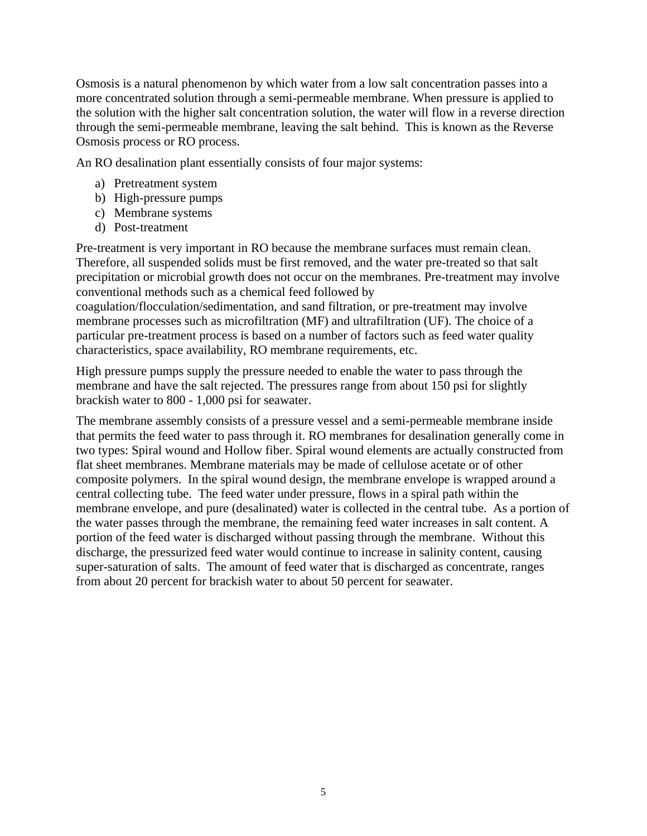Osmosis is a natural phenomenon by which water from a low salt concentration passes into a more concentrated solution through a semi-permeable membrane. When pressure is applied to the solution with the higher salt concentration solution, the water will flow in a reverse direction through the semi-permeable membrane, leaving the salt behind. This is known as the Reverse Osmosis process or RO process.

An RO desalination plant essentially consists of four major systems:

- a) Pretreatment system
- b) High-pressure pumps
- c) Membrane systems
- d) Post-treatment

Pre-treatment is very important in RO because the membrane surfaces must remain clean. Therefore, all suspended solids must be first removed, and the water pre-treated so that salt precipitation or microbial growth does not occur on the membranes. Pre-treatment may involve conventional methods such as a chemical feed followed by

coagulation/flocculation/sedimentation, and sand filtration, or pre-treatment may involve membrane processes such as microfiltration (MF) and ultrafiltration (UF). The choice of a particular pre-treatment process is based on a number of factors such as feed water quality characteristics, space availability, RO membrane requirements, etc.

High pressure pumps supply the pressure needed to enable the water to pass through the membrane and have the salt rejected. The pressures range from about 150 psi for slightly brackish water to 800 - 1,000 psi for seawater.

The membrane assembly consists of a pressure vessel and a semi-permeable membrane inside that permits the feed water to pass through it. RO membranes for desalination generally come in two types: Spiral wound and Hollow fiber. Spiral wound elements are actually constructed from flat sheet membranes. Membrane materials may be made of cellulose acetate or of other composite polymers. In the spiral wound design, the membrane envelope is wrapped around a central collecting tube. The feed water under pressure, flows in a spiral path within the membrane envelope, and pure (desalinated) water is collected in the central tube. As a portion of the water passes through the membrane, the remaining feed water increases in salt content. A portion of the feed water is discharged without passing through the membrane. Without this discharge, the pressurized feed water would continue to increase in salinity content, causing super-saturation of salts. The amount of feed water that is discharged as concentrate, ranges from about 20 percent for brackish water to about 50 percent for seawater.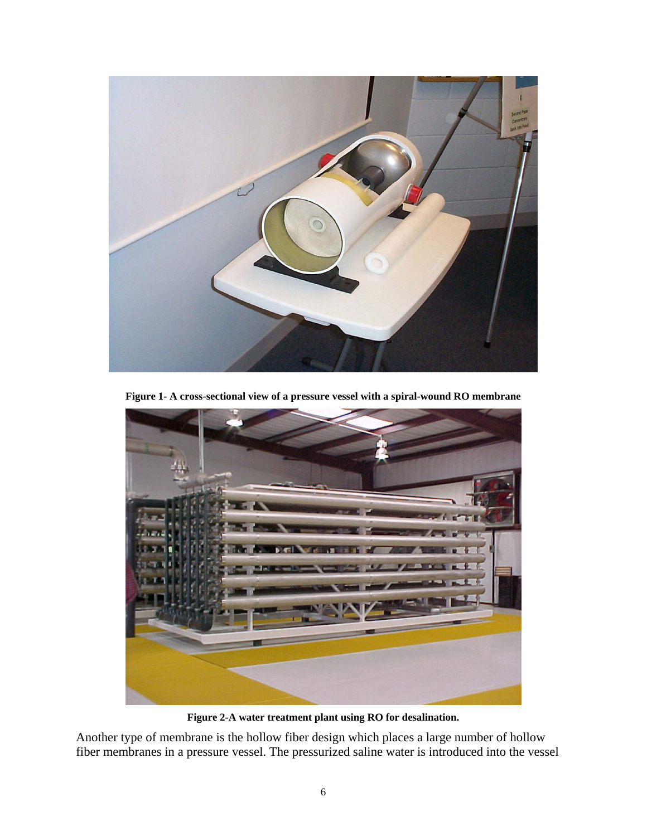

**Figure 1- A cross-sectional view of a pressure vessel with a spiral-wound RO membrane** 



**Figure 2-A water treatment plant using RO for desalination.** 

Another type of membrane is the hollow fiber design which places a large number of hollow fiber membranes in a pressure vessel. The pressurized saline water is introduced into the vessel